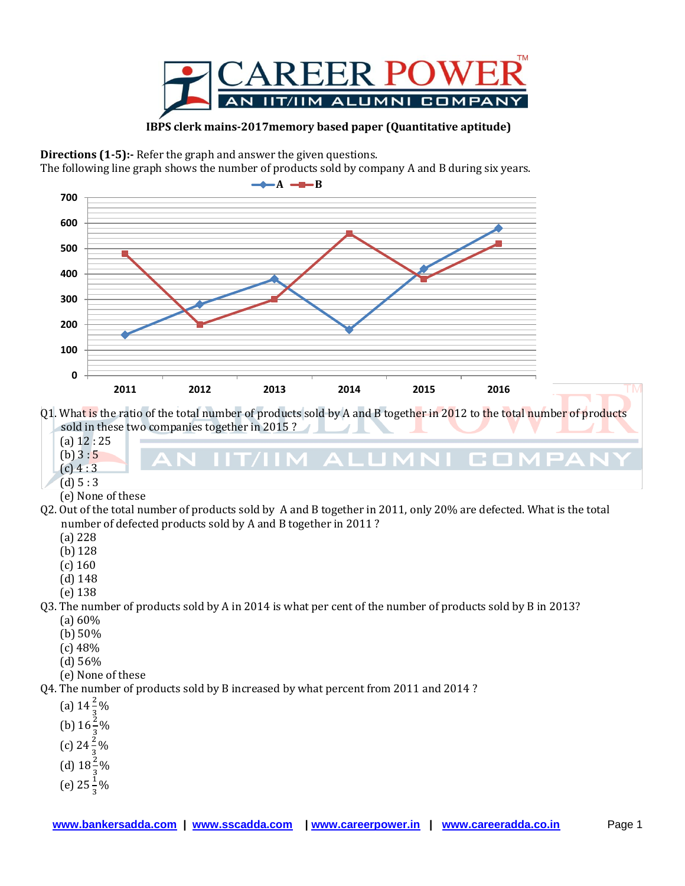

 **IBPS clerk mains-2017memory based paper (Quantitative aptitude)**

**Directions (1-5):** Refer the graph and answer the given questions.

The following line graph shows the number of products sold by company A and B during six years.



Q1. What is the ratio of the total number of products sold by A and B together in 2012 to the total number of products sold in these two companies together in 2015 ?

J AI II

mar 1 **COL** 

- (a) 12 : 25
- $(b) 3:5$
- $(c)$  4 : 3  $(d) 5 : 3$
- (e) None of these
- Q2. Out of the total number of products sold by A and B together in 2011, only 20% are defected. What is the total number of defected products sold by A and B together in 2011 ?
	- (a) 228
	- (b) 128
	- (c) 160
	- (d) 148
	- (e) 138

## Q3. The number of products sold by A in 2014 is what per cent of the number of products sold by B in 2013? (a) 60%

- (b) 50%
- (c) 48%
- (d) 56%
- (e) None of these

Q4. The number of products sold by B increased by what percent from 2011 and 2014 ?

- (a)  $14\frac{2}{3}\%$
- 3 (b)  $16\frac{2}{3}\%$
- (c)  $24\frac{2}{3}\%$
- (d)  $18\frac{2}{3}\%$
- 3
- (e)  $25\frac{1}{3}\%$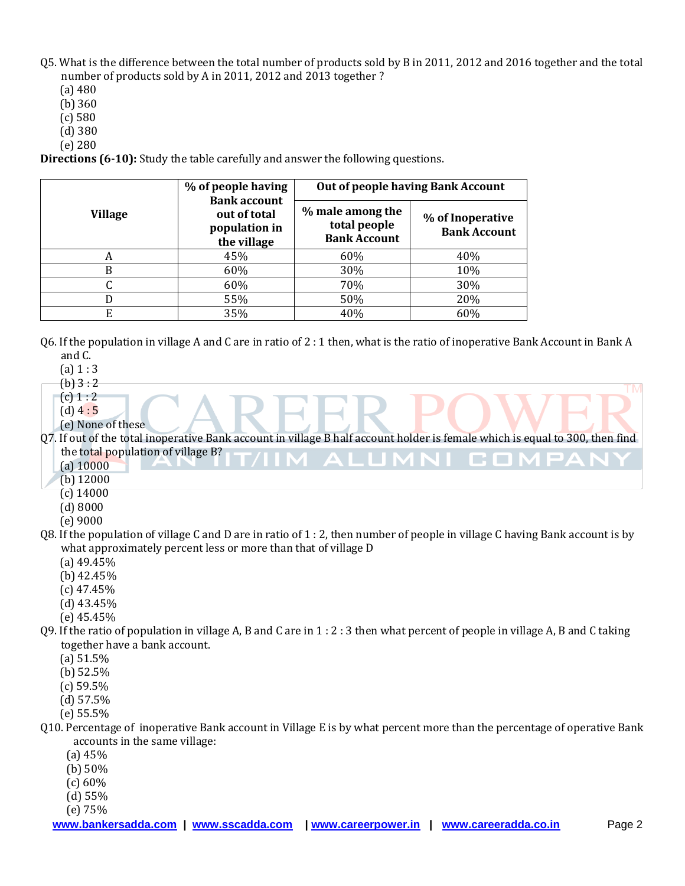- Q5. What is the difference between the total number of products sold by B in 2011, 2012 and 2016 together and the total number of products sold by A in 2011, 2012 and 2013 together ?
	- (a) 480
	- (b) 360
	- (c) 580
	- (d) 380
	- (e) 280

**Directions (6-10):** Study the table carefully and answer the following questions.

| <b>Village</b> | % of people having<br><b>Bank account</b><br>out of total<br>population in<br>the village | <b>Out of people having Bank Account</b>                |                                         |  |
|----------------|-------------------------------------------------------------------------------------------|---------------------------------------------------------|-----------------------------------------|--|
|                |                                                                                           | % male among the<br>total people<br><b>Bank Account</b> | % of Inoperative<br><b>Bank Account</b> |  |
| А              | 45%                                                                                       | 60%                                                     | 40%                                     |  |
| B              | 60%                                                                                       | 30%                                                     | 10%                                     |  |
|                | 60%                                                                                       | 70%                                                     | 30%                                     |  |
|                | 55%                                                                                       | 50%                                                     | 20%                                     |  |
|                | 35%                                                                                       | 40%                                                     | 60%                                     |  |

- Q6. If the population in village A and C are in ratio of 2 : 1 then, what is the ratio of inoperative Bank Account in Bank A and C.
	- $(a) 1 : 3$
	- $(b) 3:2$
	- $(c) 1 : 2$
	- $(d)$  4 : 5
	- (e) None of these
- Q7. If out of the total inoperative Bank account in village B half account holder is female which is equal to 300, then find the total population of village B? a ser

**TM** 

- (a) 10000
- (b) 12000
- (c) 14000
- (d) 8000
- (e) 9000
- Q8. If the population of village C and D are in ratio of 1 : 2, then number of people in village C having Bank account is by what approximately percent less or more than that of village D
	- (a) 49.45%
	- (b) 42.45%
	- (c) 47.45%
	- (d) 43.45%
	- (e) 45.45%
- Q9. If the ratio of population in village A, B and C are in 1 : 2 : 3 then what percent of people in village A, B and C taking together have a bank account.
	- (a) 51.5%
	- (b) 52.5%
	- (c) 59.5%
	- (d) 57.5%
	- (e) 55.5%
- Q10. Percentage of inoperative Bank account in Village E is by what percent more than the percentage of operative Bank accounts in the same village:
	- (a) 45%
	- (b) 50%
	- (c) 60%
	- (d) 55%

(e) 75%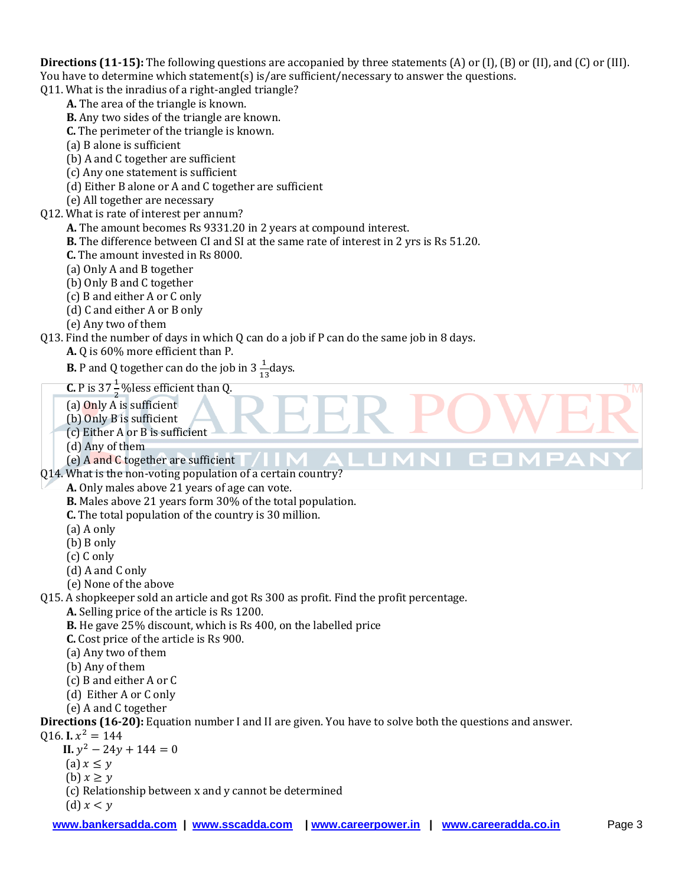**Directions (11-15):** The following questions are accopanied by three statements (A) or (I), (B) or (II), and (C) or (III). You have to determine which statement(s) is/are sufficient/necessary to answer the questions.

**TM** 

r n

Q11. What is the inradius of a right-angled triangle?

- **A.** The area of the triangle is known.
- **B.** Any two sides of the triangle are known.
- **C.** The perimeter of the triangle is known.
- (a) B alone is sufficient
- (b) A and C together are sufficient
- (c) Any one statement is sufficient
- (d) Either B alone or A and C together are sufficient
- (e) All together are necessary
- Q12. What is rate of interest per annum?
	- **A.** The amount becomes Rs 9331.20 in 2 years at compound interest.
	- **B.** The difference between CI and SI at the same rate of interest in 2 yrs is Rs 51.20.
	- **C.** The amount invested in Rs 8000.
	- (a) Only A and B together
	- (b) Only B and C together
	- (c) B and either A or C only
	- (d) C and either A or B only
	- (e) Any two of them

## Q13. Find the number of days in which Q can do a job if P can do the same job in 8 days.

- **A.** Q is 60% more efficient than P.
- **B.** P and Q together can do the job in  $3\frac{1}{13}$  days.
- **C.** P is 37  $\frac{1}{2}$  % less efficient than Q.
- (a) Only A is sufficient
- (b) Only B is sufficient
- (c) Either A or B is sufficient
- (d) Any of them
- (e) A and C together are sufficient
- Q14. What is the non-voting population of a certain country?
	- **A.** Only males above 21 years of age can vote.
		- **B.** Males above 21 years form 30% of the total population.
		- **C.** The total population of the country is 30 million.
		- (a) A only
		- (b) B only
		- (c) C only
		- (d) A and C only
		- (e) None of the above
- Q15. A shopkeeper sold an article and got Rs 300 as profit. Find the profit percentage.
	- **A.** Selling price of the article is Rs 1200.
	- **B.** He gave 25% discount, which is Rs 400, on the labelled price
	- **C.** Cost price of the article is Rs 900.
	- (a) Any two of them
	- (b) Any of them
	- (c) B and either A or C
	- (d) Either A or C only
	- (e) A and C together

**Directions (16-20):** Equation number I and II are given. You have to solve both the questions and answer.

 $Q16.$  **I.**  $x^2$ 

- $II. y^2$
- (a)  $x \leq y$
- (b)  $x > v$
- (c) Relationship between x and y cannot be determined
- (d)  $x < y$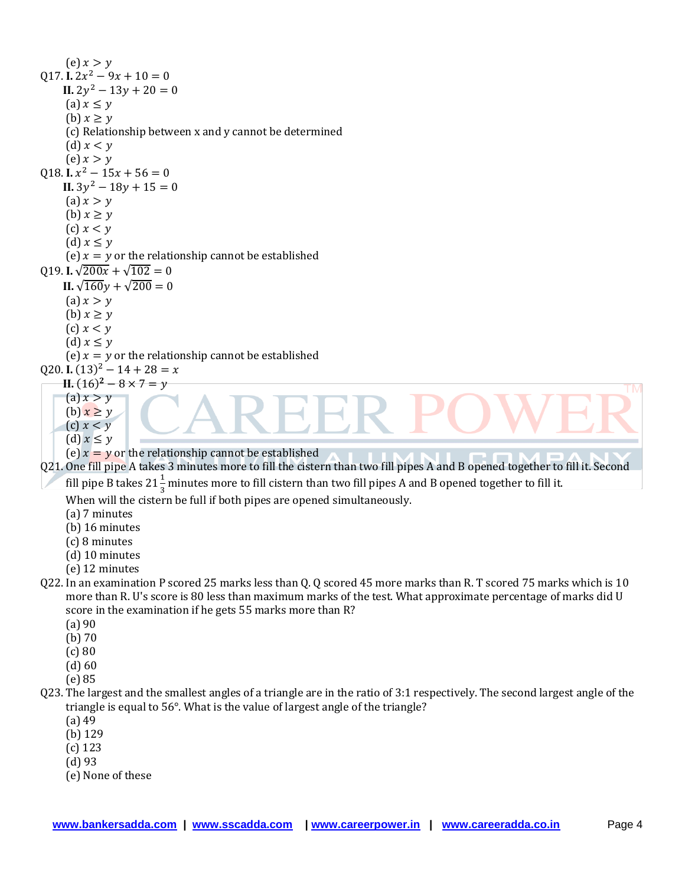(e)  $x > y$  $Q17.$  **I.**  $2x^2$ **II.**  $2y^2$ (a)  $x \leq y$ (b)  $x \geq y$ (c) Relationship between x and y cannot be determined (d)  $x < y$ (e)  $x > y$  $Q18.$  **I.**  $x^2$ **II.**  $3y^2$ (a)  $x > y$ (b)  $x \geq y$  $(c)$   $x < y$ (d)  $x \leq y$ (e)  $x = y$  or the relationship cannot be established Q19. **I.**  $\sqrt{200x} + \sqrt{102} = 0$ **II.**  $\sqrt{160}v + \sqrt{200} = 0$ (a)  $x > y$ (b)  $x \geq y$ (c)  $x < y$ (d)  $x \leq y$ (e)  $x = y$  or the relationship cannot be established  $Q20$ . **I.**  $(13)^2$ **II.**  $(16)^2$ **TM**  $(a) x > y$ (b)  $x \geq y$  $(c)$   $x < y$ (d)  $x \leq y$ (e)  $x = y$  or the relationship cannot be established Q21. One fill pipe A takes 3 minutes more to fill the cistern than two fill pipes A and B opened together to fill it. Second fill pipe B takes 21  $\frac{1}{3}$  minutes more to fill cistern than two fill pipes A and B opened together to fill it. When will the cistern be full if both pipes are opened simultaneously. (a) 7 minutes (b) 16 minutes (c) 8 minutes (d) 10 minutes (e) 12 minutes Q22. In an examination P scored 25 marks less than Q. Q scored 45 more marks than R. T scored 75 marks which is 10 more than R. U's score is 80 less than maximum marks of the test. What approximate percentage of marks did U score in the examination if he gets 55 marks more than R? (a) 90 (b) 70 (c) 80 (d) 60 (e) 85 Q23. The largest and the smallest angles of a triangle are in the ratio of 3:1 respectively. The second largest angle of the triangle is equal to 56°. What is the value of largest angle of the triangle? (a) 49 (b) 129 (c) 123 (d) 93

(e) None of these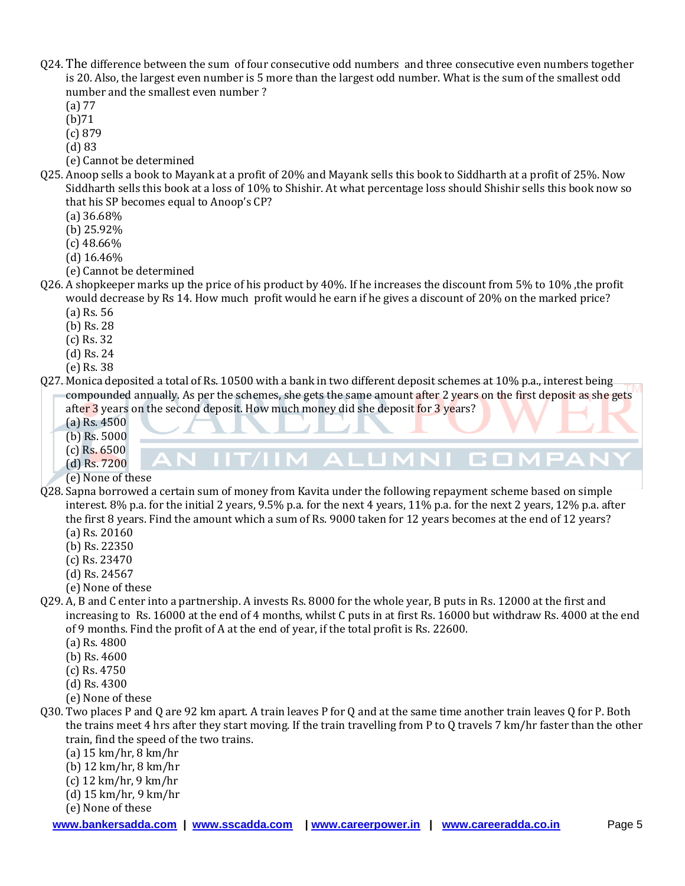- Q24. The difference between the sum of four consecutive odd numbers and three consecutive even numbers together is 20. Also, the largest even number is 5 more than the largest odd number. What is the sum of the smallest odd number and the smallest even number ?
	- (a) 77
	- (b)71
	- (c) 879
	- (d) 83
	- (e) Cannot be determined
- Q25. Anoop sells a book to Mayank at a profit of 20% and Mayank sells this book to Siddharth at a profit of 25%. Now Siddharth sells this book at a loss of 10% to Shishir. At what percentage loss should Shishir sells this book now so that his SP becomes equal to Anoop's CP?
	- (a) 36.68%
	- (b) 25.92%
	- (c) 48.66%
	- (d) 16.46%
	- (e) Cannot be determined
- Q26. A shopkeeper marks up the price of his product by 40%. If he increases the discount from 5% to 10% ,the profit would decrease by Rs 14. How much profit would he earn if he gives a discount of 20% on the marked price?
	- (a) Rs. 56
	- (b) Rs. 28
	- (c) Rs. 32
	- (d) Rs. 24
	- (e) Rs. 38
- Q27. Monica deposited a total of Rs. 10500 with a bank in two different deposit schemes at 10% p.a., interest being compounded annually. As per the schemes, she gets the same amount after 2 years on the first deposit as she gets after 3 years on the second deposit. How much money did she deposit for 3 years?

N IIT/IIM ALUMNI COMPAN

- (a) Rs. 4500
- (b) Rs. 5000
- (c) Rs. 6500
- (d) Rs. 7200
- (e) None of these
- Q28. Sapna borrowed a certain sum of money from Kavita under the following repayment scheme based on simple interest. 8% p.a. for the initial 2 years, 9.5% p.a. for the next 4 years, 11% p.a. for the next 2 years, 12% p.a. after the first 8 years. Find the amount which a sum of Rs. 9000 taken for 12 years becomes at the end of 12 years? (a) Rs. 20160
	- (b) Rs. 22350
	- (c) Rs. 23470
	- (d) Rs. 24567
	-
	- (e) None of these
- Q29. A, B and C enter into a partnership. A invests Rs. 8000 for the whole year, B puts in Rs. 12000 at the first and increasing to Rs. 16000 at the end of 4 months, whilst C puts in at first Rs. 16000 but withdraw Rs. 4000 at the end of 9 months. Find the profit of A at the end of year, if the total profit is Rs. 22600.
	- (a) Rs. 4800
	- (b) Rs. 4600
	- (c) Rs. 4750
	- (d) Rs. 4300
	- (e) None of these
- Q30. Two places P and Q are 92 km apart. A train leaves P for Q and at the same time another train leaves Q for P. Both the trains meet 4 hrs after they start moving. If the train travelling from P to Q travels 7 km/hr faster than the other train, find the speed of the two trains.
	- (a) 15 km/hr, 8 km/hr
	- (b) 12 km/hr, 8 km/hr
	- (c) 12 km/hr, 9 km/hr
	- (d) 15 km/hr, 9 km/hr
	- (e) None of these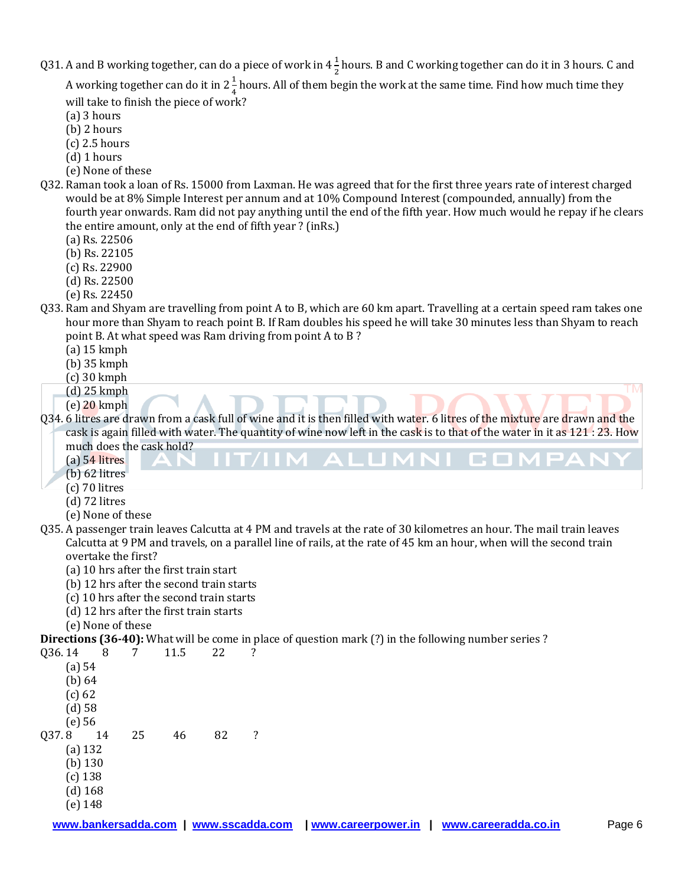Q31. A and B working together, can do a piece of work in  $4\frac{1}{3}$  $\frac{1}{2}$  hours. B and C working together can do it in 3 hours. C and

A working together can do it in 2 $\frac{1}{4}$  $\frac{1}{4}$  hours. All of them begin the work at the same time. Find how much time they will take to finish the piece of work?

- (a) 3 hours
- (b) 2 hours
- (c) 2.5 hours
- (d) 1 hours
- (e) None of these
- Q32. Raman took a loan of Rs. 15000 from Laxman. He was agreed that for the first three years rate of interest charged would be at 8% Simple Interest per annum and at 10% Compound Interest (compounded, annually) from the fourth year onwards. Ram did not pay anything until the end of the fifth year. How much would he repay if he clears the entire amount, only at the end of fifth year ? (inRs.)
	- (a) Rs. 22506
	- (b) Rs. 22105
	- (c) Rs. 22900
	- (d) Rs. 22500
	- (e) Rs. 22450
- Q33. Ram and Shyam are travelling from point A to B, which are 60 km apart. Travelling at a certain speed ram takes one hour more than Shyam to reach point B. If Ram doubles his speed he will take 30 minutes less than Shyam to reach point B. At what speed was Ram driving from point A to B ?
	- (a) 15 kmph
	- (b) 35 kmph
	- (c) 30 kmph
	- (d) 25 kmph
	- (e) 20 kmph
- Q34. 6 litres are drawn from a cask full of wine and it is then filled with water. 6 litres of the mixture are drawn and the cask is again filled with water. The quantity of wine now left in the cask is to that of the water in it as 121 : 23. How much does the cask hold?

**TM** 

- (a) 54 litres
- (b) 62 litres
- (c) 70 litres
- (d) 72 litres
- (e) None of these
- Q35. A passenger train leaves Calcutta at 4 PM and travels at the rate of 30 kilometres an hour. The mail train leaves Calcutta at 9 PM and travels, on a parallel line of rails, at the rate of 45 km an hour, when will the second train overtake the first?
	- (a) 10 hrs after the first train start
	- (b) 12 hrs after the second train starts
	- (c) 10 hrs after the second train starts
	- (d) 12 hrs after the first train starts
	- (e) None of these

**Directions (36-40):** What will be come in place of question mark (?) in the following number series ?

| Q36.14    | 8  |    | 11.5 | 22 | ? |
|-----------|----|----|------|----|---|
| (a) 54    |    |    |      |    |   |
| (b) 64    |    |    |      |    |   |
| $(c)$ 62  |    |    |      |    |   |
| (d) 58    |    |    |      |    |   |
| $(e)$ 56  |    |    |      |    |   |
| Q37.8     | 14 | 25 | 46   | 82 | ? |
| $(a)$ 132 |    |    |      |    |   |
| $(b)$ 130 |    |    |      |    |   |
| $(c)$ 138 |    |    |      |    |   |
| $(d)$ 168 |    |    |      |    |   |
| $(e)$ 148 |    |    |      |    |   |